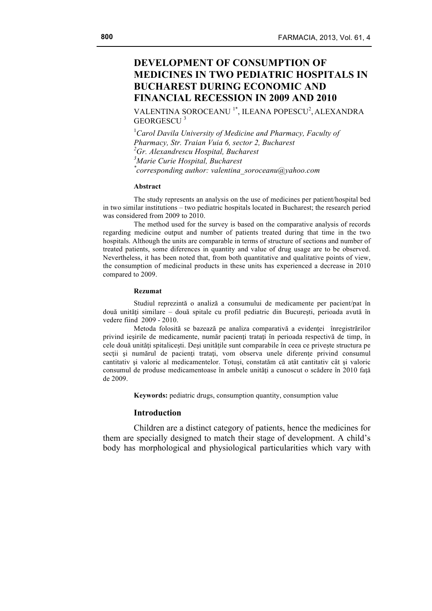VALENTINA SOROCEANU<sup>1\*</sup>, ILEANA POPESCU<sup>2</sup>, ALEXANDRA GEORGESCU<sup>3</sup>

<sup>1</sup> Carol Davila University of Medicine and Pharmacy, Faculty of *Pharmacy, Str. Traian Vuia 6, sector 2, Bucharest 2 Gr. Alexandrescu Hospital, Bucharest 3 Marie Curie Hospital, Bucharest \* corresponding author: valentina\_soroceanu@yahoo.com*

### **Abstract**

The study represents an analysis on the use of medicines per patient/hospital bed in two similar institutions – two pediatric hospitals located in Bucharest; the research period was considered from 2009 to 2010.

The method used for the survey is based on the comparative analysis of records regarding medicine output and number of patients treated during that time in the two hospitals. Although the units are comparable in terms of structure of sections and number of treated patients, some diferences in quantity and value of drug usage are to be observed. Nevertheless, it has been noted that, from both quantitative and qualitative points of view, the consumption of medicinal products in these units has experienced a decrease in 2010 compared to 2009.

#### **Rezumat**

Studiul reprezintă o analiză a consumului de medicamente per pacient/pat în două unități similare – două spitale cu profil pediatric din București, perioada avută în vedere fiind 2009 - 2010.

Metoda folosită se bazează pe analiza comparativă a evidenţei înregistrărilor privind ieşirile de medicamente, număr pacienţi trataţi în perioada respectivă de timp, în cele două unităţi spitaliceşti. Deşi unităţile sunt comparabile în ceea ce priveşte structura pe secții și numărul de pacienți tratați, vom observa unele diferențe privind consumul cantitativ şi valoric al medicamentelor. Totuşi, constatăm că atât cantitativ cât şi valoric consumul de produse medicamentoase în ambele unități a cunoscut o scădere în 2010 fată de 2009.

**Keywords:** pediatric drugs, consumption quantity, consumption value

# **Introduction**

Children are a distinct category of patients, hence the medicines for them are specially designed to match their stage of development. A child's body has morphological and physiological particularities which vary with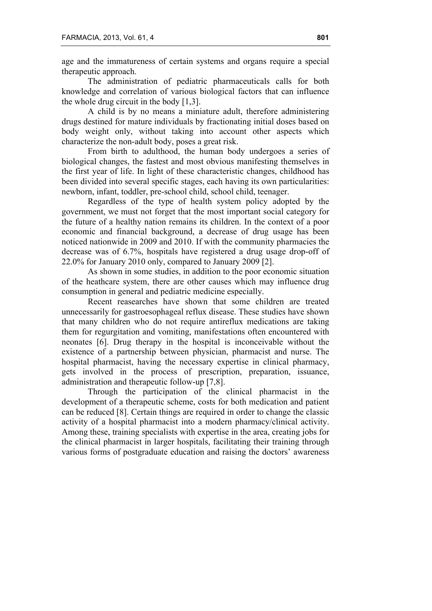age and the immatureness of certain systems and organs require a special therapeutic approach.

The administration of pediatric pharmaceuticals calls for both knowledge and correlation of various biological factors that can influence the whole drug circuit in the body [1,3].

A child is by no means a miniature adult, therefore administering drugs destined for mature individuals by fractionating initial doses based on body weight only, without taking into account other aspects which characterize the non-adult body, poses a great risk.

From birth to adulthood, the human body undergoes a series of biological changes, the fastest and most obvious manifesting themselves in the first year of life. In light of these characteristic changes, childhood has been divided into several specific stages, each having its own particularities: newborn, infant, toddler, pre-school child, school child, teenager.

Regardless of the type of health system policy adopted by the government, we must not forget that the most important social category for the future of a healthy nation remains its children. In the context of a poor economic and financial background, a decrease of drug usage has been noticed nationwide in 2009 and 2010. If with the community pharmacies the decrease was of 6.7%, hospitals have registered a drug usage drop-off of 22.0% for January 2010 only, compared to January 2009 [2].

As shown in some studies, in addition to the poor economic situation of the heathcare system, there are other causes which may influence drug consumption in general and pediatric medicine especially.

Recent reasearches have shown that some children are treated unnecessarily for gastroesophageal reflux disease. These studies have shown that many children who do not require antireflux medications are taking them for regurgitation and vomiting, manifestations often encountered with neonates [6]. Drug therapy in the hospital is inconceivable without the existence of a partnership between physician, pharmacist and nurse. The hospital pharmacist, having the necessary expertise in clinical pharmacy, gets involved in the process of prescription, preparation, issuance, administration and therapeutic follow-up [7,8].

Through the participation of the clinical pharmacist in the development of a therapeutic scheme, costs for both medication and patient can be reduced [8]. Certain things are required in order to change the classic activity of a hospital pharmacist into a modern pharmacy/clinical activity. Among these, training specialists with expertise in the area, creating jobs for the clinical pharmacist in larger hospitals, facilitating their training through various forms of postgraduate education and raising the doctors' awareness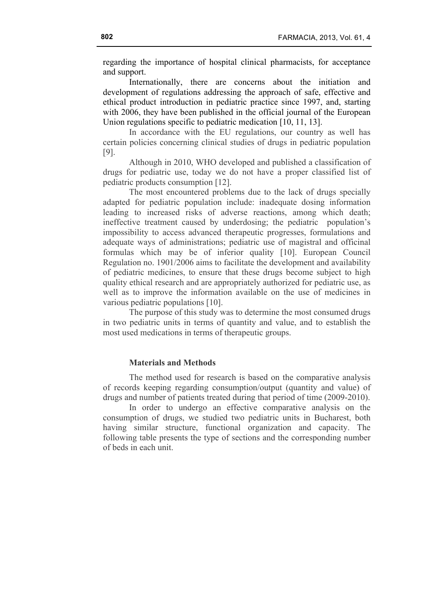regarding the importance of hospital clinical pharmacists, for acceptance and support.

Internationally, there are concerns about the initiation and development of regulations addressing the approach of safe, effective and ethical product introduction in pediatric practice since 1997, and, starting with 2006, they have been published in the official journal of the European Union regulations specific to pediatric medication [10, 11, 13].

In accordance with the EU regulations, our country as well has certain policies concerning clinical studies of drugs in pediatric population [9].

Although in 2010, WHO developed and published a classification of drugs for pediatric use, today we do not have a proper classified list of pediatric products consumption [12].

The most encountered problems due to the lack of drugs specially adapted for pediatric population include: inadequate dosing information leading to increased risks of adverse reactions, among which death; ineffective treatment caused by underdosing; the pediatric population's impossibility to access advanced therapeutic progresses, formulations and adequate ways of administrations; pediatric use of magistral and officinal formulas which may be of inferior quality [10]. European Council Regulation no. 1901/2006 aims to facilitate the development and availability of pediatric medicines, to ensure that these drugs become subject to high quality ethical research and are appropriately authorized for pediatric use, as well as to improve the information available on the use of medicines in various pediatric populations [10].

The purpose of this study was to determine the most consumed drugs in two pediatric units in terms of quantity and value, and to establish the most used medications in terms of therapeutic groups.

## **Materials and Methods**

The method used for research is based on the comparative analysis of records keeping regarding consumption/output (quantity and value) of drugs and number of patients treated during that period of time (2009-2010).

In order to undergo an effective comparative analysis on the consumption of drugs, we studied two pediatric units in Bucharest, both having similar structure, functional organization and capacity. The following table presents the type of sections and the corresponding number of beds in each unit.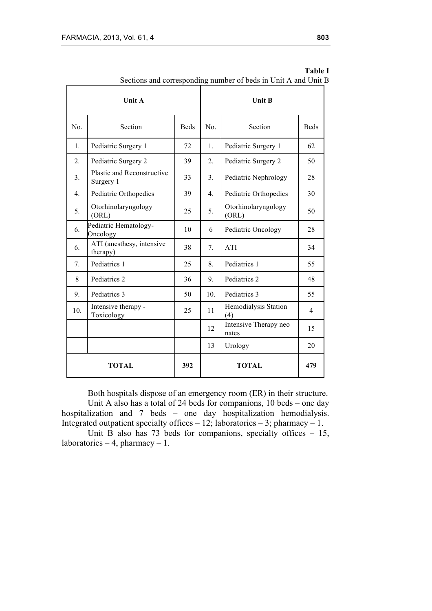| rections and corresponding<br><b>Unit A</b> |                                         |             | number of beas in only than only<br><b>Unit B</b> |                                |                |  |
|---------------------------------------------|-----------------------------------------|-------------|---------------------------------------------------|--------------------------------|----------------|--|
| No.                                         | Section                                 | <b>Beds</b> | No.                                               | Section                        |                |  |
| 1.                                          | Pediatric Surgery 1                     | 72          | 1.                                                | Pediatric Surgery 1            | 62             |  |
| 2.                                          | Pediatric Surgery 2                     | 39          | 2.                                                | Pediatric Surgery 2            | 50             |  |
| 3.                                          | Plastic and Reconstructive<br>Surgery 1 | 33          | 3.                                                | Pediatric Nephrology           | 28             |  |
| 4.                                          | Pediatric Orthopedics                   | 39          | $\overline{4}$ .                                  | Pediatric Orthopedics          | 30             |  |
| 5.                                          | Otorhinolaryngology<br>(ORL)            | 25          | 5.                                                | Otorhinolaryngology<br>(ORL)   |                |  |
| 6.                                          | Pediatric Hematology-<br>Oncology       | 10          | 6                                                 | Pediatric Oncology             |                |  |
| 6.                                          | ATI (anesthesy, intensive<br>therapy)   | 38          | 7.                                                | ATI                            |                |  |
| 7.                                          | Pediatrics 1                            | 25          | 8.                                                | Pediatrics 1                   |                |  |
| 8                                           | Pediatrics 2                            | 36          | 9.                                                | Pediatrics 2                   | 48             |  |
| 9.                                          | Pediatrics 3                            | 50          | 10.                                               | Pediatrics 3                   | 55             |  |
| 10.                                         | Intensive therapy -<br>Toxicology       | 25          | Hemodialysis Station<br>11<br>(4)                 |                                | $\overline{4}$ |  |
|                                             |                                         |             | 12                                                | Intensive Therapy neo<br>nates | 15             |  |
|                                             |                                         |             | 13                                                | Urology                        | 20             |  |
| <b>TOTAL</b>                                |                                         |             |                                                   | <b>TOTAL</b>                   | 479            |  |

|                                                                | <b>Table I</b> |
|----------------------------------------------------------------|----------------|
| Sections and corresponding number of beds in Unit A and Unit B |                |

Both hospitals dispose of an emergency room (ER) in their structure. Unit A also has a total of 24 beds for companions, 10 beds – one day hospitalization and 7 beds – one day hospitalization hemodialysis. Integrated outpatient specialty offices  $-12$ ; laboratories  $-3$ ; pharmacy  $-1$ .

Unit B also has 73 beds for companions, specialty offices  $-15$ , laboratories – 4, pharmacy – 1.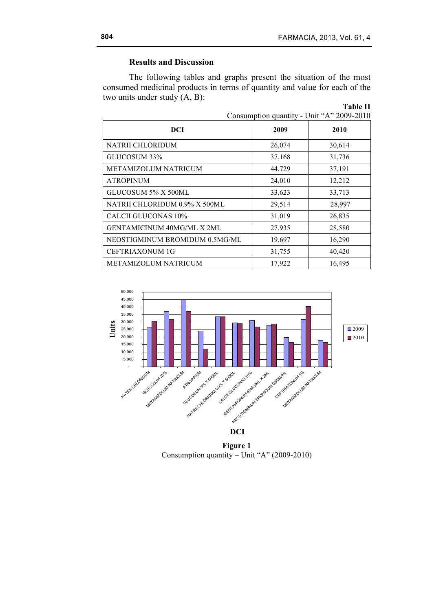# **Results and Discussion**

The following tables and graphs present the situation of the most consumed medicinal products in terms of quantity and value for each of the two units under study (A, B):

|                                   |        | <b>Table II</b><br>Consumption quantity - Unit "A" 2009-2010 |
|-----------------------------------|--------|--------------------------------------------------------------|
| <b>DCI</b>                        | 2009   | 2010                                                         |
| <b>NATRII CHLORIDUM</b>           | 26,074 | 30,614                                                       |
| GLUCOSUM 33%                      | 37,168 | 31,736                                                       |
| <b>METAMIZOLUM NATRICUM</b>       | 44,729 | 37,191                                                       |
| <b>ATROPINUM</b>                  | 24,010 | 12,212                                                       |
| GLUCOSUM 5% X 500ML               | 33,623 | 33,713                                                       |
| NATRII CHLORIDUM 0.9% X 500ML     | 29,514 | 28,997                                                       |
| <b>CALCII GLUCONAS 10%</b>        | 31,019 | 26,835                                                       |
| <b>GENTAMICINUM 40MG/ML X 2ML</b> | 27,935 | 28,580                                                       |
| NEOSTIGMINUM BROMIDUM 0.5MG/ML    | 19,697 | 16,290                                                       |
| <b>CEFTRIAXONUM 1G</b>            | 31,755 | 40,420                                                       |
| <b>METAMIZOLUM NATRICUM</b>       | 17,922 | 16,495                                                       |



**Figure 1** Consumption quantity – Unit "A" (2009-2010)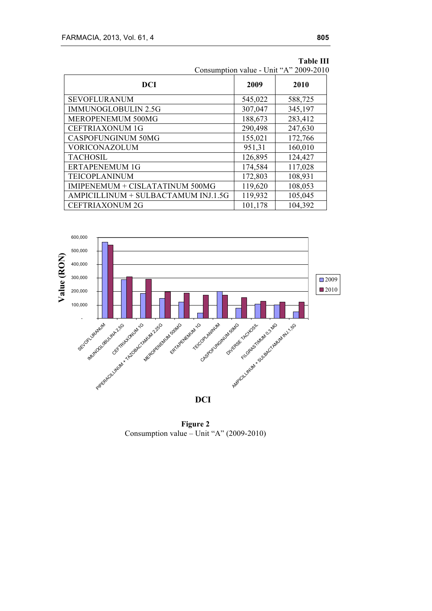| Consumption value - Unit "A" 2009-2010 |         |         |  |
|----------------------------------------|---------|---------|--|
| <b>DCI</b>                             | 2009    | 2010    |  |
| <b>SEVOFLURANUM</b>                    | 545,022 | 588,725 |  |
| <b>IMMUNOGLOBULIN 2.5G</b>             | 307,047 | 345,197 |  |
| MEROPENEMUM 500MG                      | 188,673 | 283,412 |  |
| <b>CEFTRIAXONUM 1G</b>                 | 290,498 | 247,630 |  |
| <b>CASPOFUNGINUM 50MG</b>              | 155,021 | 172,766 |  |
| <b>VORICONAZOLUM</b>                   | 951,31  | 160,010 |  |
| <b>TACHOSIL</b>                        | 126,895 | 124,427 |  |
| <b>ERTAPENEMUM 1G</b>                  | 174,584 | 117,028 |  |
| TEICOPLANINUM                          | 172,803 | 108,931 |  |
| IMIPENEMUM + CISLATATINUM 500MG        | 119,620 | 108,053 |  |
| AMPICILLINUM + SULBACTAMUM INJ.1.5G    | 119,932 | 105,045 |  |
| <b>CEFTRIAXONUM 2G</b>                 | 101,178 | 104,392 |  |

**Table III**

**Consumption value - Unit "A" 2009-2010**



**Figure 2** Consumption value – Unit "A" (2009-2010)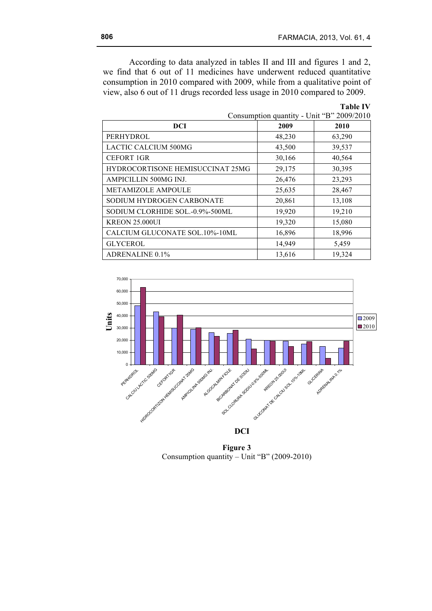According to data analyzed in tables II and III and figures 1 and 2, we find that 6 out of 11 medicines have underwent reduced quantitative consumption in 2010 compared with 2009, while from a qualitative point of view, also 6 out of 11 drugs recorded less usage in 2010 compared to 2009.

| 2002/2010                        |        |        |  |
|----------------------------------|--------|--------|--|
| <b>DCI</b>                       | 2009   | 2010   |  |
| PERHYDROL                        | 48,230 | 63,290 |  |
| <b>LACTIC CALCIUM 500MG</b>      | 43,500 | 39,537 |  |
| <b>CEFORT 1GR</b>                | 30,166 | 40,564 |  |
| HYDROCORTISONE HEMISUCCINAT 25MG | 29,175 | 30,395 |  |
| AMPICILLIN 500MG INJ.            | 26,476 | 23,293 |  |
| METAMIZOLE AMPOULE               | 25,635 | 28,467 |  |
| SODIUM HYDROGEN CARBONATE        | 20,861 | 13,108 |  |
| SODIUM CLORHIDE SOL.-0.9%-500ML  | 19,920 | 19,210 |  |
| <b>KREON 25,000UI</b>            | 19,320 | 15,080 |  |
| CALCIUM GLUCONATE SOL.10%-10ML   | 16,896 | 18,996 |  |
| <b>GLYCEROL</b>                  | 14,949 | 5,459  |  |
| <b>ADRENALINE 0.1%</b>           | 13,616 | 19,324 |  |

**Table IV** Consumption quantity - Unit "B" 2009/2010

**Consumption quantity - Unit "B" 2009-2010**



**Figure 3** Consumption quantity – Unit "B" (2009-2010)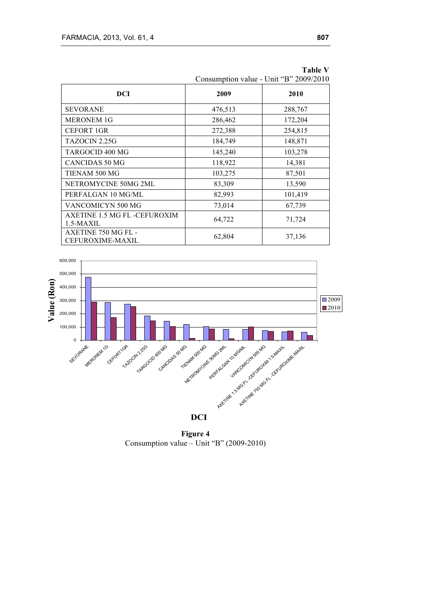| DCI                                           | 2009                                | 2010    |
|-----------------------------------------------|-------------------------------------|---------|
| <b>SEVORANE</b>                               | 476,513                             | 288,767 |
| <b>MERONEM 1G</b>                             | 286,462                             | 172,204 |
| <b>CEFORT 1GR</b>                             | 272,388                             | 254,815 |
| TAZOCIN 2.25G                                 | 184,749                             | 148,871 |
| TARGOCID 400 MG                               | 145,240                             | 103,278 |
| <b>CANCIDAS 50 MG</b>                         | 118,922                             | 14,381  |
| TIENAM 500 MG                                 | 103,275                             | 87,501  |
| NETROMYCINE 50MG 2ML                          | 83,309                              | 13,590  |
| PERFALGAN 10 MG/ML                            | 82,993                              | 101,419 |
| VANCOMICYN 500 MG                             | 73,014                              | 67,739  |
| AXETINE 1.5 MG FL -CEFUROXIM<br>1.5-MAXIL     | 64,722                              | 71,724  |
| <b>AXETINE 750 MG FL-</b><br>CEFUROXIME-MAXIL | 62,804<br>21 60 DB 2000 2010<br>П., | 37,136  |

|                                        |  | <b>Table V</b> |  |
|----------------------------------------|--|----------------|--|
| Consumption value - Unit "B" 2009/2010 |  |                |  |

**Consumption value - Unit "B" 2009-2010**



**Figure 4** Consumption value – Unit "B" (2009-2010)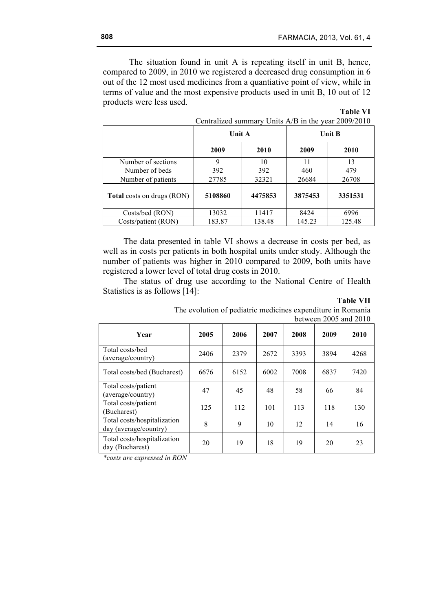The situation found in unit A is repeating itself in unit B, hence, compared to 2009, in 2010 we registered a decreased drug consumption in 6 out of the 12 most used medicines from a quantiative point of view, while in terms of value and the most expensive products used in unit B, 10 out of 12 products were less used.

| Contrained summary only type in the year $2007/2010$ |               |         |               |         |  |  |
|------------------------------------------------------|---------------|---------|---------------|---------|--|--|
|                                                      | <b>Unit A</b> |         | <b>Unit B</b> |         |  |  |
|                                                      | 2009<br>2010  |         | 2009          | 2010    |  |  |
| Number of sections                                   | Q             | 10      | 11            | 13      |  |  |
| Number of beds                                       | 392           | 392     | 460           | 479     |  |  |
| Number of patients                                   | 27785         | 32321   | 26684         | 26708   |  |  |
| <b>Total</b> costs on drugs (RON)                    | 5108860       | 4475853 | 3875453       | 3351531 |  |  |
| Costs/bed (RON)                                      | 13032         | 11417   | 8424          | 6996    |  |  |
| Costs/patient (RON)                                  | 183.87        | 138.48  | 145.23        | 125.48  |  |  |

| <b>Table VI</b>                                     |  |
|-----------------------------------------------------|--|
| Centralized summary Units A/B in the year 2009/2010 |  |

The data presented in table VI shows a decrease in costs per bed, as well as in costs per patients in both hospital units under study. Although the number of patients was higher in 2010 compared to 2009, both units have registered a lower level of total drug costs in 2010.

The status of drug use according to the National Centre of Health Statistics is as follows [14]:

| `able |  |
|-------|--|
|-------|--|

| Year                                                 | 2005 | 2006 | 2007 | 2008 | 2009 | 2010 |
|------------------------------------------------------|------|------|------|------|------|------|
| Total costs/bed<br>(average/country)                 | 2406 | 2379 | 2672 | 3393 | 3894 | 4268 |
| Total costs/bed (Bucharest)                          | 6676 | 6152 | 6002 | 7008 | 6837 | 7420 |
| Total costs/patient<br>(average/country)             | 47   | 45   | 48   | 58   | 66   | 84   |
| Total costs/patient<br>(Bucharest)                   | 125  | 112  | 101  | 113  | 118  | 130  |
| Total costs/hospitalization<br>day (average/country) | 8    | 9    | 10   | 12   | 14   | 16   |
| Total costs/hospitalization<br>day (Bucharest)       | 20   | 19   | 18   | 19   | 20   | 23   |

The evolution of pediatric medicines expenditure in Romania between 2005 and 2010

*\*costs are expressed in RON*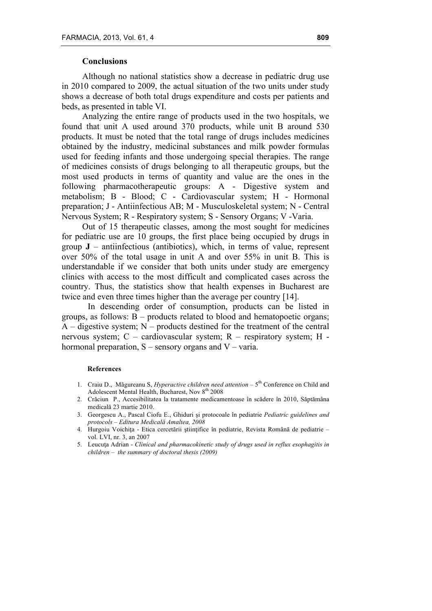# **Conclusions**

Although no national statistics show a decrease in pediatric drug use in 2010 compared to 2009, the actual situation of the two units under study shows a decrease of both total drugs expenditure and costs per patients and beds, as presented in table VI.

Analyzing the entire range of products used in the two hospitals, we found that unit A used around 370 products, while unit B around 530 products. It must be noted that the total range of drugs includes medicines obtained by the industry, medicinal substances and milk powder formulas used for feeding infants and those undergoing special therapies. The range of medicines consists of drugs belonging to all therapeutic groups, but the most used products in terms of quantity and value are the ones in the following pharmacotherapeutic groups: A - Digestive system and metabolism; B - Blood; C - Cardiovascular system; H - Hormonal preparation; J - Antiinfectious AB; M - Musculoskeletal system; N - Central Nervous System; R - Respiratory system; S - Sensory Organs; V -Varia.

Out of 15 therapeutic classes, among the most sought for medicines for pediatric use are 10 groups, the first place being occupied by drugs in group  $J$  – antiinfectious (antibiotics), which, in terms of value, represent over 50% of the total usage in unit A and over 55% in unit B. This is understandable if we consider that both units under study are emergency clinics with access to the most difficult and complicated cases across the country. Thus, the statistics show that health expenses in Bucharest are twice and even three times higher than the average per country [14].

In descending order of consumption, products can be listed in groups, as follows:  $B$  – products related to blood and hematopoetic organs;  $A$  – digestive system;  $N$  – products destined for the treatment of the central nervous system; C – cardiovascular system; R – respiratory system; H hormonal preparation,  $S$  – sensory organs and  $V$  – varia.

## **References**

- 1. Craiu D., Măgureanu S, *Hyperactive children need attention* 5<sup>th</sup> Conference on Child and Adolescent Mental Health, Bucharest, Nov 8<sup>th</sup> 2008
- 2. Crăciun P., Accesibilitatea la tratamente medicamentoase în scădere în 2010, Săptămâna medicală 23 martie 2010.
- 3. Georgescu A., Pascal Ciofu E., Ghiduri şi protocoale în pediatrie *Pediatric guidelines and protocols – Editura Medicală Amaltea, 2008*
- 4. Hurgoiu Voichiţa Etica cercetării ştiinţifice în pediatrie, Revista Română de pediatrie vol. LVI, nr. 3, an 2007
- 5. Leucuţa Adrian *Clinical and pharmacokinetic study of drugs used in reflux esophagitis in children* – *the summary of doctoral thesis (2009)*